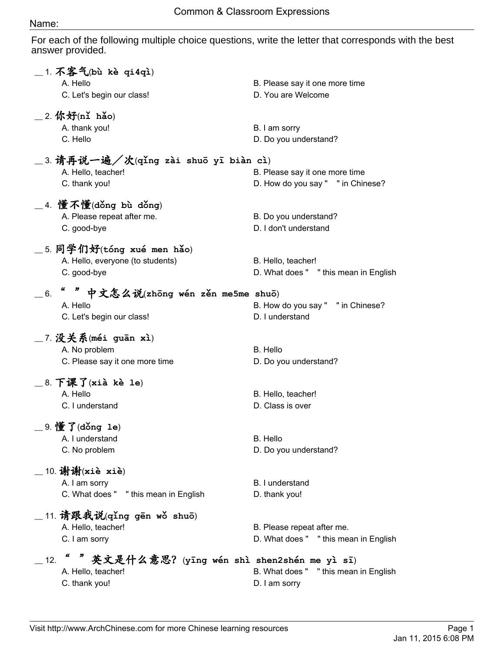## Name:

For each of the following multiple choice questions, write the letter that corresponds with the best answer provided.

|     | $\_$ 1. 不客气(bù kè qi4qì)<br>A. Hello<br>C. Let's begin our class!                      | B. Please say it one more time<br>D. You are Welcome                |
|-----|----------------------------------------------------------------------------------------|---------------------------------------------------------------------|
|     | $\_$ 2. 你好(nǐ hǎo)<br>A. thank you!<br>C. Hello                                        | B. I am sorry<br>D. Do you understand?                              |
|     | _3.请再说一遍/次(qǐng zài shuō yī biàn cì)<br>A. Hello, teacher!<br>C. thank you!            | B. Please say it one more time<br>D. How do you say " " in Chinese? |
|     | $\_$ 4. 懂不懂(dǒng bù dǒng)<br>A. Please repeat after me.<br>C. good-bye                 | B. Do you understand?<br>D. I don't understand                      |
|     | $\_$ 5. 同学们好(tóng xué men hǎo)<br>A. Hello, everyone (to students)<br>C. good-bye      | B. Hello, teacher!<br>D. What does " "this mean in English          |
| 6.  | 中文怎么说(zhōng wén zěn me5me shuō)<br>A. Hello<br>C. Let's begin our class!               | B. How do you say " " in Chinese?<br>D. I understand                |
|     | _7 没关系(méi guān xì)<br>A. No problem<br>C. Please say it one more time                 | B. Hello<br>D. Do you understand?                                   |
|     | $\_$ 8. 下课了(xià kè le)<br>A. Hello<br>C. I understand                                  | B. Hello, teacher!<br>D. Class is over                              |
|     | $\_$ 9. 懂了(dǒng le)<br>A. I understand<br>C. No problem                                | B. Hello<br>D. Do you understand?                                   |
|     | $\_$ 10. 谢谢(xiè xiè)<br>A. I am sorry<br>C. What does " "this mean in English          | B. I understand<br>D. thank you!                                    |
|     | $\_$ 11. 请跟我说(qǐng gēn wǒ shuō)<br>A. Hello, teacher!<br>C. I am sorry                 | B. Please repeat after me.<br>D. What does " "this mean in English  |
| 12. | u<br>英文是什么意思? (yīng wén shì shen2shén me yì sī)<br>A. Hello, teacher!<br>C. thank you! | B. What does " "this mean in English<br>D. I am sorry               |